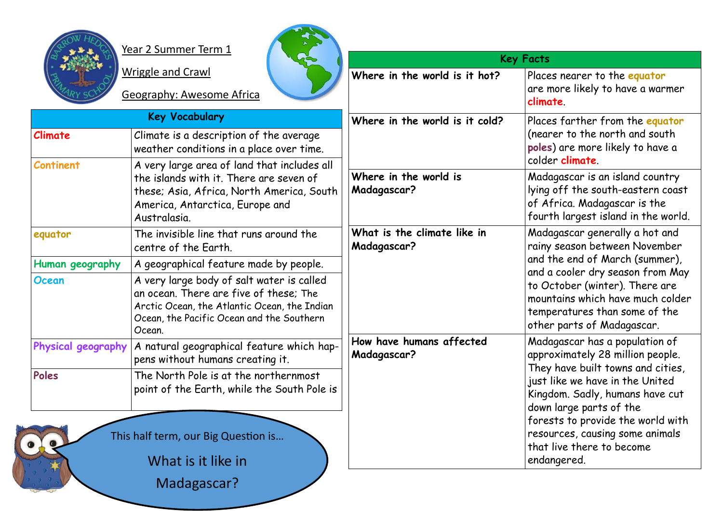

Year 2 Summer Term 1

| Year 2 Summer Term 1 |                                                                                                                                                                                            | <b>Key Facts</b>                           |                                                                                                                                                                                                                                                                                  |
|----------------------|--------------------------------------------------------------------------------------------------------------------------------------------------------------------------------------------|--------------------------------------------|----------------------------------------------------------------------------------------------------------------------------------------------------------------------------------------------------------------------------------------------------------------------------------|
|                      | <b>Wriggle and Crawl</b><br><b>Geography: Awesome Africa</b>                                                                                                                               | Where in the world is it hot?              | Places nearer to the equator<br>are more likely to have a warmer<br>climate.                                                                                                                                                                                                     |
|                      | <b>Key Vocabulary</b>                                                                                                                                                                      | Where in the world is it cold?             | Places farther from the equator                                                                                                                                                                                                                                                  |
| Climate              | Climate is a description of the average<br>weather conditions in a place over time.                                                                                                        |                                            | (nearer to the north and south<br>poles) are more likely to have a<br>colder climate.                                                                                                                                                                                            |
| <b>Continent</b>     | A very large area of land that includes all<br>the islands with it. There are seven of<br>these; Asia, Africa, North America, South<br>America, Antarctica, Europe and<br>Australasia.     | Where in the world is<br>Madagascar?       | Madagascar is an island country<br>lying off the south-eastern coast<br>of Africa. Madagascar is the<br>fourth largest island in the world.                                                                                                                                      |
| equator              | The invisible line that runs around the<br>centre of the Earth.                                                                                                                            | What is the climate like in<br>Madagascar? | Madagascar generally a hot and<br>rainy season between November<br>and the end of March (summer),<br>and a cooler dry season from May<br>to October (winter). There are<br>mountains which have much colder<br>temperatures than some of the<br>other parts of Madagascar.       |
| Human geography      | A geographical feature made by people.                                                                                                                                                     |                                            |                                                                                                                                                                                                                                                                                  |
| <b>Ocean</b>         | A very large body of salt water is called<br>an ocean. There are five of these; The<br>Arctic Ocean, the Atlantic Ocean, the Indian<br>Ocean, the Pacific Ocean and the Southern<br>Ocean. |                                            |                                                                                                                                                                                                                                                                                  |
| Physical geography   | A natural geographical feature which hap-<br>pens without humans creating it.                                                                                                              | How have humans affected<br>Madagascar?    | Madagascar has a population of<br>approximately 28 million people.<br>They have built towns and cities,<br>just like we have in the United<br>Kingdom. Sadly, humans have cut<br>down large parts of the<br>forests to provide the world with<br>resources, causing some animals |
| Poles                | The North Pole is at the northernmost<br>point of the Earth, while the South Pole is<br>This half term, our Big Question is                                                                |                                            |                                                                                                                                                                                                                                                                                  |
|                      | What is it like in                                                                                                                                                                         |                                            | that live there to become<br>endangered.                                                                                                                                                                                                                                         |

What is it like in

Madagascar?